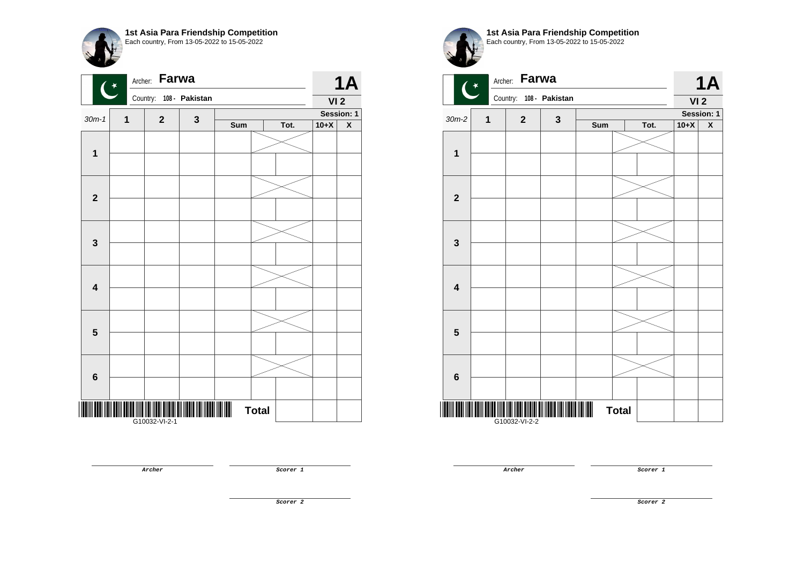| 1st Asia Para Friendship Competition<br>Each country, From 13-05-2022 to 15-05-2022 |
|-------------------------------------------------------------------------------------|
|                                                                                     |

|                         | Archer:<br>$\overline{\mathbf{C}}$ | Farwa       |                |     |              |      |                 | <b>1A</b>          |
|-------------------------|------------------------------------|-------------|----------------|-----|--------------|------|-----------------|--------------------|
|                         |                                    | Country:    | 108 - Pakistan |     |              |      | VI <sub>2</sub> |                    |
| $30m-1$                 | $\mathbf 1$                        | $\mathbf 2$ | $\mathbf 3$    |     |              |      |                 | Session: 1         |
|                         |                                    |             |                | Sum |              | Tot. | $10+X$          | $\pmb{\mathsf{X}}$ |
| $\mathbf 1$             |                                    |             |                |     |              |      |                 |                    |
|                         |                                    |             |                |     |              |      |                 |                    |
|                         |                                    |             |                |     |              |      |                 |                    |
| $\overline{\mathbf{2}}$ |                                    |             |                |     |              |      |                 |                    |
|                         |                                    |             |                |     |              |      |                 |                    |
| $\mathbf{3}$            |                                    |             |                |     |              |      |                 |                    |
|                         |                                    |             |                |     |              |      |                 |                    |
| $\overline{\mathbf{4}}$ |                                    |             |                |     |              |      |                 |                    |
|                         |                                    |             |                |     |              |      |                 |                    |
|                         |                                    |             |                |     |              |      |                 |                    |
| $5\phantom{1}$          |                                    |             |                |     |              |      |                 |                    |
|                         |                                    |             |                |     |              |      |                 |                    |
| $6\phantom{1}$          |                                    |             |                |     |              |      |                 |                    |
|                         |                                    |             |                |     |              |      |                 |                    |
|                         |                                    |             |                |     | <b>Total</b> |      |                 |                    |

**1st Asia Para Friendship Competition** Each country, From 13-05-2022 to 15-05-2022



**Archer Scorer** 1

**Archer Scorer 1** 

**Scorer 2**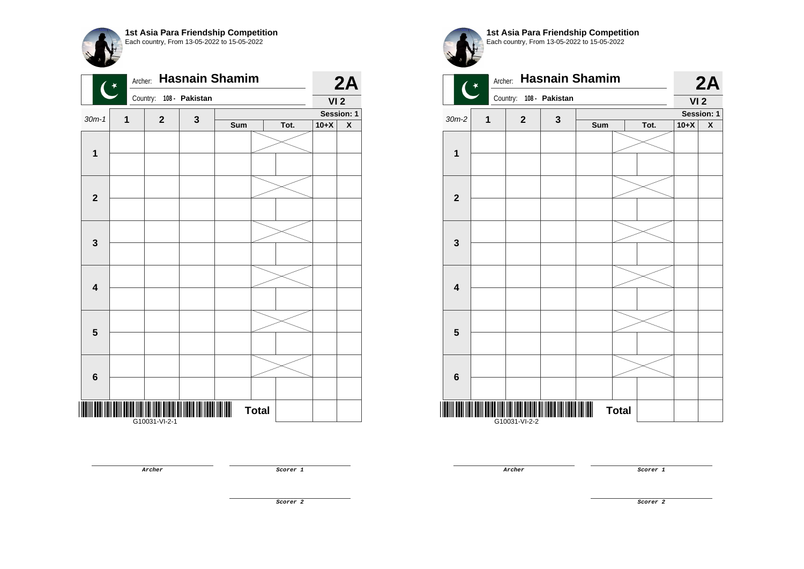|                         | Archer:<br>$\overline{C}$ |               |                | <b>Hasnain Shamim</b> |              |      |                 | 2A                      |
|-------------------------|---------------------------|---------------|----------------|-----------------------|--------------|------|-----------------|-------------------------|
|                         |                           | Country:      | 108 - Pakistan |                       |              |      | VI <sub>2</sub> |                         |
| $30m-1$                 | 1                         | $\mathbf{2}$  | 3              |                       |              |      |                 | Session: 1              |
|                         |                           |               |                | Sum                   |              | Tot. | $10+X$          | $\overline{\textbf{X}}$ |
|                         |                           |               |                |                       |              |      |                 |                         |
| $\mathbf 1$             |                           |               |                |                       |              |      |                 |                         |
|                         |                           |               |                |                       |              |      |                 |                         |
|                         |                           |               |                |                       |              |      |                 |                         |
| $\mathbf{2}$            |                           |               |                |                       |              |      |                 |                         |
|                         |                           |               |                |                       |              |      |                 |                         |
|                         |                           |               |                |                       |              |      |                 |                         |
|                         |                           |               |                |                       |              |      |                 |                         |
| $\mathbf 3$             |                           |               |                |                       |              |      |                 |                         |
|                         |                           |               |                |                       |              |      |                 |                         |
|                         |                           |               |                |                       |              |      |                 |                         |
| $\overline{\mathbf{4}}$ |                           |               |                |                       |              |      |                 |                         |
|                         |                           |               |                |                       |              |      |                 |                         |
|                         |                           |               |                |                       |              |      |                 |                         |
| $5\phantom{1}$          |                           |               |                |                       |              |      |                 |                         |
|                         |                           |               |                |                       |              |      |                 |                         |
|                         |                           |               |                |                       |              |      |                 |                         |
|                         |                           |               |                |                       |              |      |                 |                         |
| 6                       |                           |               |                |                       |              |      |                 |                         |
|                         |                           |               |                |                       |              |      |                 |                         |
|                         |                           |               |                |                       | <b>Total</b> |      |                 |                         |
|                         |                           | G10031-VI-2-1 |                |                       |              |      |                 |                         |

**1st Asia Para Friendship Competition** Each country, From 13-05-2022 to 15-05-2022



**Archer Scorer 1** 

**Archer Scorer 1** 

**Scorer 2**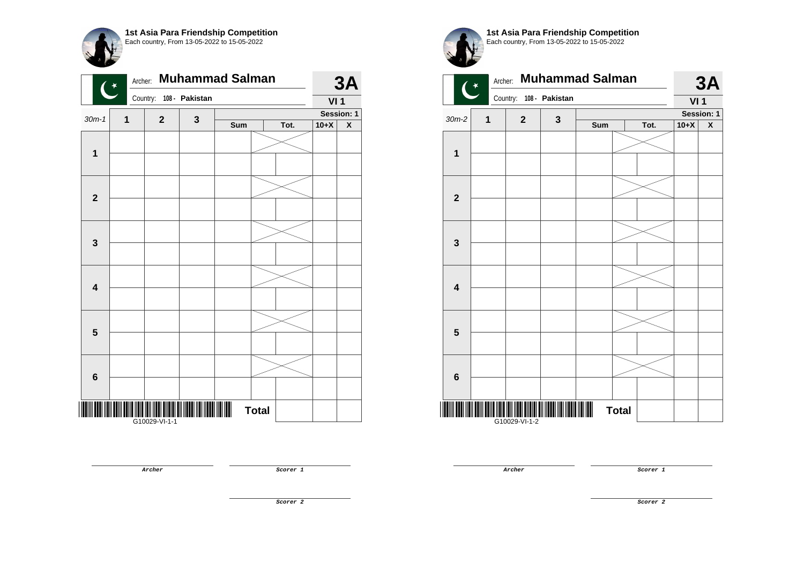

|                         | Archer:<br>$\overline{(\cdot)}$ |               |                | <b>Muhammad Salman</b> |              |      |                 | 3A                      |
|-------------------------|---------------------------------|---------------|----------------|------------------------|--------------|------|-----------------|-------------------------|
|                         |                                 | Country:      | 108 - Pakistan |                        |              |      | VI <sub>1</sub> |                         |
| $30m-1$                 | 1                               | $\mathbf 2$   | 3              |                        |              |      |                 | Session: 1              |
|                         |                                 |               |                | Sum                    |              | Tot. | $10+X$          | $\overline{\textbf{X}}$ |
|                         |                                 |               |                |                        |              |      |                 |                         |
| $\mathbf 1$             |                                 |               |                |                        |              |      |                 |                         |
|                         |                                 |               |                |                        |              |      |                 |                         |
|                         |                                 |               |                |                        |              |      |                 |                         |
| $\mathbf{2}$            |                                 |               |                |                        |              |      |                 |                         |
|                         |                                 |               |                |                        |              |      |                 |                         |
|                         |                                 |               |                |                        |              |      |                 |                         |
|                         |                                 |               |                |                        |              |      |                 |                         |
| $\mathbf 3$             |                                 |               |                |                        |              |      |                 |                         |
|                         |                                 |               |                |                        |              |      |                 |                         |
|                         |                                 |               |                |                        |              |      |                 |                         |
| $\overline{\mathbf{4}}$ |                                 |               |                |                        |              |      |                 |                         |
|                         |                                 |               |                |                        |              |      |                 |                         |
|                         |                                 |               |                |                        |              |      |                 |                         |
| $\overline{\mathbf{5}}$ |                                 |               |                |                        |              |      |                 |                         |
|                         |                                 |               |                |                        |              |      |                 |                         |
|                         |                                 |               |                |                        |              |      |                 |                         |
|                         |                                 |               |                |                        |              |      |                 |                         |
| $\bf 6$                 |                                 |               |                |                        |              |      |                 |                         |
|                         |                                 |               |                |                        |              |      |                 |                         |
|                         |                                 |               |                |                        | <b>Total</b> |      |                 |                         |
|                         |                                 | G10029-VI-1-1 |                |                        |              |      |                 |                         |

Archer: **Muhammad Salman 3A**  $\star$ Country: **108 - Pakistan VI 1 Session: 1**  $30m-2$  **1 2 3 Sum Tot. 10+X X 1 2 3 4 5 6**

**1st Asia Para Friendship Competition** Each country, From 13-05-2022 to 15-05-2022

\*G10029-VI-1-2\* G10029-VI-1-2

**Archer Scorer 1** 

**Archer Scorer 1** 

**Total** 

**Scorer 2**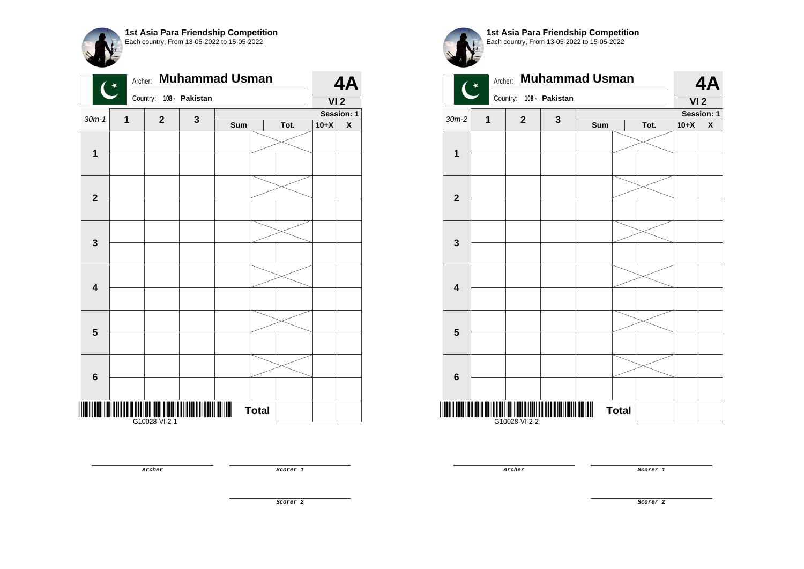

|                         | Archer:<br>$\overline{(\cdot)}$ |               |                | <b>Muhammad Usman</b> |              |      |                 | 4A                      |
|-------------------------|---------------------------------|---------------|----------------|-----------------------|--------------|------|-----------------|-------------------------|
|                         |                                 | Country:      | 108 - Pakistan |                       |              |      | VI <sub>2</sub> |                         |
| $30m-1$                 | 1                               | $\mathbf{2}$  | $\mathbf 3$    |                       |              |      |                 | Session: 1              |
|                         |                                 |               |                | Sum                   |              | Tot. | $10+X$          | $\overline{\textbf{X}}$ |
|                         |                                 |               |                |                       |              |      |                 |                         |
| $\mathbf 1$             |                                 |               |                |                       |              |      |                 |                         |
|                         |                                 |               |                |                       |              |      |                 |                         |
|                         |                                 |               |                |                       |              |      |                 |                         |
| $\overline{\mathbf{2}}$ |                                 |               |                |                       |              |      |                 |                         |
|                         |                                 |               |                |                       |              |      |                 |                         |
|                         |                                 |               |                |                       |              |      |                 |                         |
|                         |                                 |               |                |                       |              |      |                 |                         |
| $\mathbf 3$             |                                 |               |                |                       |              |      |                 |                         |
|                         |                                 |               |                |                       |              |      |                 |                         |
|                         |                                 |               |                |                       |              |      |                 |                         |
| $\overline{\mathbf{4}}$ |                                 |               |                |                       |              |      |                 |                         |
|                         |                                 |               |                |                       |              |      |                 |                         |
|                         |                                 |               |                |                       |              |      |                 |                         |
| $\overline{\mathbf{5}}$ |                                 |               |                |                       |              |      |                 |                         |
|                         |                                 |               |                |                       |              |      |                 |                         |
|                         |                                 |               |                |                       |              |      |                 |                         |
|                         |                                 |               |                |                       |              |      |                 |                         |
| $\bf 6$                 |                                 |               |                |                       |              |      |                 |                         |
|                         |                                 |               |                |                       |              |      |                 |                         |
|                         |                                 |               |                |                       | <b>Total</b> |      |                 |                         |
|                         |                                 | G10028-VI-2-1 |                |                       |              |      |                 |                         |

 $\star$ 

**1st Asia Para Friendship Competition** Each country, From 13-05-2022 to 15-05-2022



**Archer Scorer 1** 

**Archer Scorer 1** 

**Scorer 2**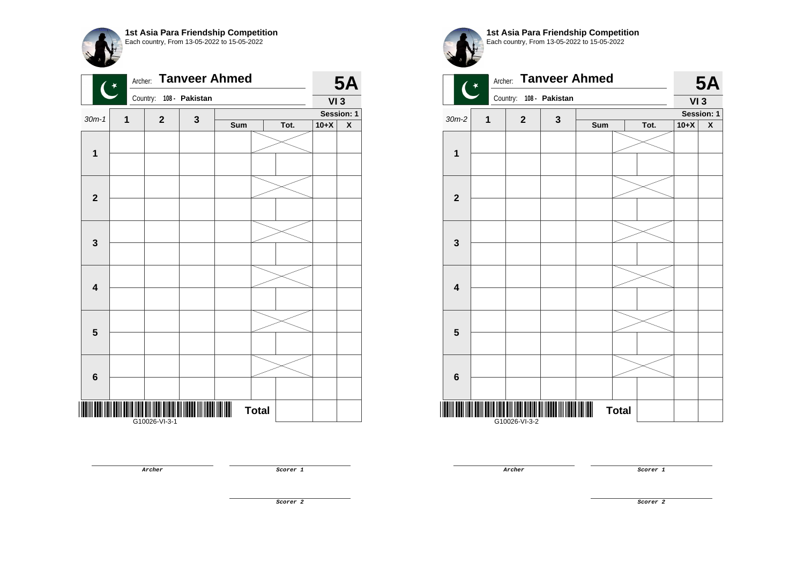|                         | Archer:<br>$\mathbf{G}$ |                         |   | <b>Tanveer Ahmed</b> |              |      |        | <b>5A</b>          |
|-------------------------|-------------------------|-------------------------|---|----------------------|--------------|------|--------|--------------------|
|                         |                         | Country: 108 - Pakistan |   |                      |              |      | VI3    |                    |
| $30m-1$                 | 1                       | $\mathbf{2}$            | 3 |                      |              |      |        | Session: 1         |
|                         |                         |                         |   | Sum                  |              | Tot. | $10+X$ | $\pmb{\mathsf{X}}$ |
| $\mathbf{1}$            |                         |                         |   |                      |              |      |        |                    |
|                         |                         |                         |   |                      |              |      |        |                    |
|                         |                         |                         |   |                      |              |      |        |                    |
| $\mathbf{2}$            |                         |                         |   |                      |              |      |        |                    |
|                         |                         |                         |   |                      |              |      |        |                    |
| $\mathbf 3$             |                         |                         |   |                      |              |      |        |                    |
|                         |                         |                         |   |                      |              |      |        |                    |
| $\overline{\mathbf{4}}$ |                         |                         |   |                      |              |      |        |                    |
|                         |                         |                         |   |                      |              |      |        |                    |
| $\overline{\mathbf{5}}$ |                         |                         |   |                      |              |      |        |                    |
|                         |                         |                         |   |                      |              |      |        |                    |
| $\bf 6$                 |                         |                         |   |                      |              |      |        |                    |
|                         |                         |                         |   |                      |              |      |        |                    |
|                         |                         | G10026-VI-3-1           |   |                      | <b>Total</b> |      |        |                    |

**Archer Scorer 1** 

**1st Asia Para Friendship Competition** Each country, From 13-05-2022 to 15-05-2022 Archer: **Tanveer Ahmed**   $\star$ Country: **108 - Pakistan**  $30m-2$  **1 2 3 Sum Tot. 10+X X**

**1**



**Archer Scorer 1** 

**5A**

**VI 3**

**Session: 1**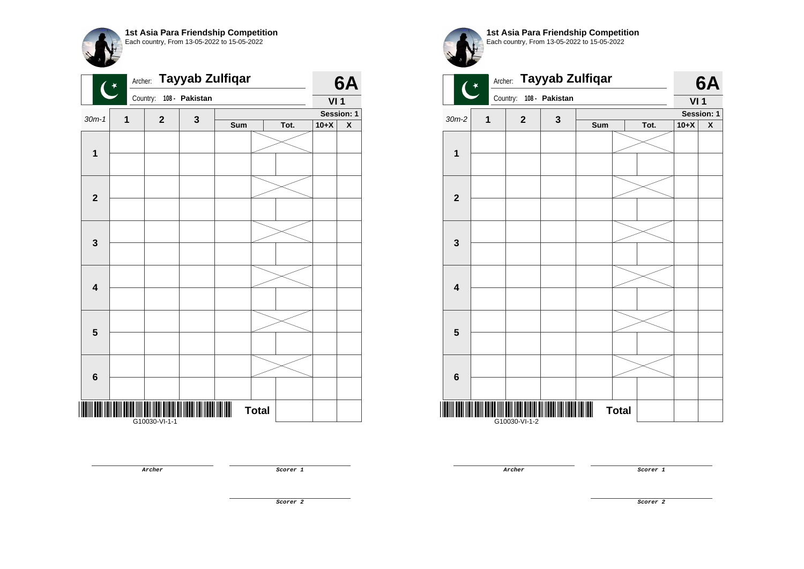|                         | Archer:<br>$\overline{\mathbf{C}}$ |               |                | <b>Tayyab Zulfiqar</b> |              |      |                 | 6A                 |
|-------------------------|------------------------------------|---------------|----------------|------------------------|--------------|------|-----------------|--------------------|
|                         |                                    | Country:      | 108 - Pakistan |                        |              |      | VI <sub>1</sub> |                    |
| $30m-1$                 | $\mathbf{1}$                       | $\mathbf{2}$  | $\mathbf 3$    |                        |              |      |                 | Session: 1         |
|                         |                                    |               |                | Sum                    |              | Tot. | $10+X$          | $\pmb{\mathsf{X}}$ |
| $\mathbf 1$             |                                    |               |                |                        |              |      |                 |                    |
|                         |                                    |               |                |                        |              |      |                 |                    |
|                         |                                    |               |                |                        |              |      |                 |                    |
| $\mathbf 2$             |                                    |               |                |                        |              |      |                 |                    |
|                         |                                    |               |                |                        |              |      |                 |                    |
| $\mathbf{3}$            |                                    |               |                |                        |              |      |                 |                    |
|                         |                                    |               |                |                        |              |      |                 |                    |
| $\overline{\mathbf{4}}$ |                                    |               |                |                        |              |      |                 |                    |
|                         |                                    |               |                |                        |              |      |                 |                    |
|                         |                                    |               |                |                        |              |      |                 |                    |
| $\overline{\mathbf{5}}$ |                                    |               |                |                        |              |      |                 |                    |
|                         |                                    |               |                |                        |              |      |                 |                    |
| $6\phantom{1}$          |                                    |               |                |                        |              |      |                 |                    |
|                         |                                    |               |                |                        |              |      |                 |                    |
|                         |                                    | G10030-VI-1-1 |                |                        | <b>Total</b> |      |                 |                    |

Each country, From 13-05-2022 to 15-05-2022 Archer: **Tayyab Zulfiqar 6A**  $\star$ Country: **108 - Pakistan VI 1 Session: 1**  $30m-2$  **1 2 3 Sum Tot. 10+X X 1 2 3 4 5 6**

**1st Asia Para Friendship Competition**

\*G10030-VI-1-2\* G10030-VI-1-2

**Archer Scorer 1** 

**Archer Scorer 1** 

**Total** 

**Scorer 2**